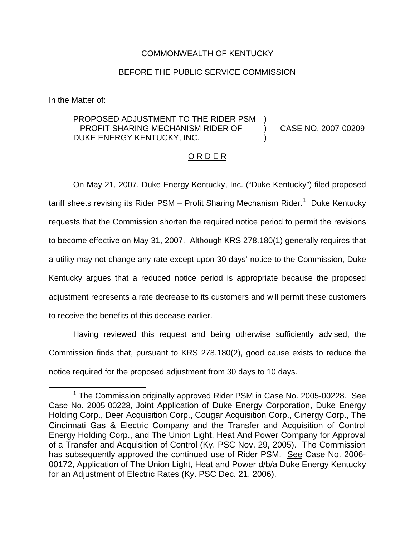## COMMONWEALTH OF KENTUCKY

## BEFORE THE PUBLIC SERVICE COMMISSION

In the Matter of:

## PROPOSED ADJUSTMENT TO THE RIDER PSM – PROFIT SHARING MECHANISM RIDER OF DUKE ENERGY KENTUCKY, INC. ) ) CASE NO. 2007-00209 )

## ORDER

On May 21, 2007, Duke Energy Kentucky, Inc. ("Duke Kentucky") filed proposed tariff sheets revising its Rider PSM – Profit Sharing Mechanism Rider.<sup>1</sup> Duke Kentucky requests that the Commission shorten the required notice period to permit the revisions to become effective on May 31, 2007. Although KRS 278.180(1) generally requires that a utility may not change any rate except upon 30 days' notice to the Commission, Duke Kentucky argues that a reduced notice period is appropriate because the proposed adjustment represents a rate decrease to its customers and will permit these customers to receive the benefits of this decease earlier.

Having reviewed this request and being otherwise sufficiently advised, the Commission finds that, pursuant to KRS 278.180(2), good cause exists to reduce the notice required for the proposed adjustment from 30 days to 10 days.

 $1$  The Commission originally approved Rider PSM in Case No. 2005-00228. See Case No. 2005-00228, Joint Application of Duke Energy Corporation, Duke Energy Holding Corp., Deer Acquisition Corp., Cougar Acquisition Corp., Cinergy Corp., The Cincinnati Gas & Electric Company and the Transfer and Acquisition of Control Energy Holding Corp., and The Union Light, Heat And Power Company for Approval of a Transfer and Acquisition of Control (Ky. PSC Nov. 29, 2005). The Commission has subsequently approved the continued use of Rider PSM. See Case No. 2006-00172, Application of The Union Light, Heat and Power d/b/a Duke Energy Kentucky for an Adjustment of Electric Rates (Ky. PSC Dec. 21, 2006).